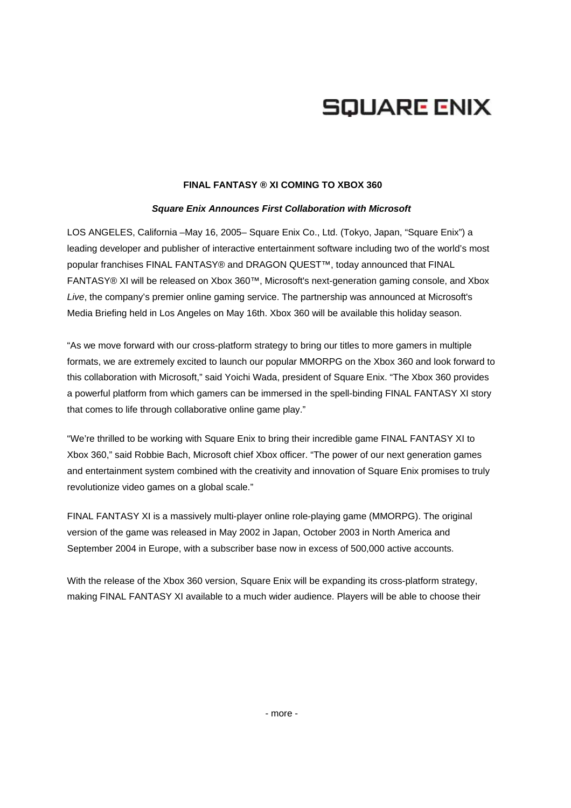# **SQUARE ENIX**

### **FINAL FANTASY ® XI COMING TO XBOX 360**

## *Square Enix Announces First Collaboration with Microsoft*

LOS ANGELES, California –May 16, 2005– Square Enix Co., Ltd. (Tokyo, Japan, "Square Enix") a leading developer and publisher of interactive entertainment software including two of the world's most popular franchises FINAL FANTASY® and DRAGON QUEST™, today announced that FINAL FANTASY® XI will be released on Xbox 360™, Microsoft's next-generation gaming console, and Xbox *Live*, the company's premier online gaming service. The partnership was announced at Microsoft's Media Briefing held in Los Angeles on May 16th. Xbox 360 will be available this holiday season.

"As we move forward with our cross-platform strategy to bring our titles to more gamers in multiple formats, we are extremely excited to launch our popular MMORPG on the Xbox 360 and look forward to this collaboration with Microsoft," said Yoichi Wada, president of Square Enix. "The Xbox 360 provides a powerful platform from which gamers can be immersed in the spell-binding FINAL FANTASY XI story that comes to life through collaborative online game play."

"We're thrilled to be working with Square Enix to bring their incredible game FINAL FANTASY XI to Xbox 360," said Robbie Bach, Microsoft chief Xbox officer. "The power of our next generation games and entertainment system combined with the creativity and innovation of Square Enix promises to truly revolutionize video games on a global scale."

FINAL FANTASY XI is a massively multi-player online role-playing game (MMORPG). The original version of the game was released in May 2002 in Japan, October 2003 in North America and September 2004 in Europe, with a subscriber base now in excess of 500,000 active accounts.

With the release of the Xbox 360 version, Square Enix will be expanding its cross-platform strategy, making FINAL FANTASY XI available to a much wider audience. Players will be able to choose their